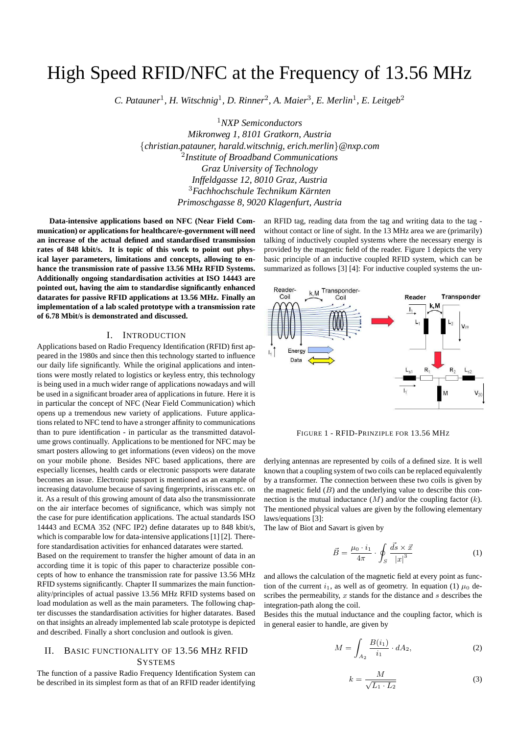# High Speed RFID/NFC at the Frequency of 13.56 MHz

*C. Patauner*<sup>1</sup> *, H. Witschnig*<sup>1</sup> *, D. Rinner*<sup>2</sup> *, A. Maier*<sup>3</sup> *, E. Merlin*<sup>1</sup> *, E. Leitgeb*<sup>2</sup>

<sup>1</sup>*NXP Semiconductors Mikronweg 1, 8101 Gratkorn, Austria* {*christian.patauner, harald.witschnig, erich.merlin*}*@nxp.com* 2 *Institute of Broadband Communications Graz University of Technology Inffeldgasse 12, 8010 Graz, Austria* <sup>3</sup>*Fachhochschule Technikum Karnten ¨ Primoschgasse 8, 9020 Klagenfurt, Austria*

**Data-intensive applications based on NFC (Near Field Communication) or applications for healthcare/e-government will need an increase of the actual defined and standardised transmission rates of 848 kbit/s. It is topic of this work to point out physical layer parameters, limitations and concepts, allowing to enhance the transmission rate of passive 13.56 MHz RFID Systems. Additionally ongoing standardisation activities at ISO 14443 are pointed out, having the aim to standardise significantly enhanced datarates for passive RFID applications at 13.56 MHz. Finally an implementation of a lab scaled prototype with a transmission rate of 6.78 Mbit/s is demonstrated and discussed.**

## I. INTRODUCTION

Applications based on Radio Frequency Identification (RFID) first appeared in the 1980s and since then this technology started to influence our daily life significantly. While the original applications and intentions were mostly related to logistics or keyless entry, this technology is being used in a much wider range of applications nowadays and will be used in a significant broader area of applications in future. Here it is in particular the concept of NFC (Near Field Communication) which opens up a tremendous new variety of applications. Future applications related to NFC tend to have a stronger affinity to communications than to pure identification - in particular as the transmitted datavolume grows continually. Applications to be mentioned for NFC may be smart posters allowing to get informations (even videos) on the move on your mobile phone. Besides NFC based applications, there are especially licenses, health cards or electronic passports were datarate becomes an issue. Electronic passport is mentioned as an example of increasing datavolume because of saving fingerprints, irisscans etc. on it. As a result of this growing amount of data also the transmissionrate on the air interface becomes of significance, which was simply not the case for pure identification applications. The actual standards ISO 14443 and ECMA 352 (NFC IP2) define datarates up to 848 kbit/s, which is comparable low for data-intensive applications [1] [2]. Therefore standardisation activities for enhanced datarates were started.

Based on the requirement to transfer the higher amount of data in an according time it is topic of this paper to characterize possible concepts of how to enhance the transmission rate for passive 13.56 MHz RFID systems significantly. Chapter II summarizes the main functionality/principles of actual passive 13.56 MHz RFID systems based on load modulation as well as the main parameters. The following chapter discusses the standardisation activities for higher datarates. Based on that insights an already implemented lab scale prototype is depicted and described. Finally a short conclusion and outlook is given.

# II. BASIC FUNCTIONALITY OF 13.56 MHZ RFID **SYSTEMS**

The function of a passive Radio Frequency Identification System can be described in its simplest form as that of an RFID reader identifying an RFID tag, reading data from the tag and writing data to the tag without contact or line of sight. In the 13 MHz area we are (primarily) talking of inductively coupled systems where the necessary energy is provided by the magnetic field of the reader. Figure 1 depicts the very basic principle of an inductive coupled RFID system, which can be summarized as follows [3] [4]: For inductive coupled systems the un-



FIGURE 1 - RFID-PRINZIPLE FOR 13.56 MHZ

derlying antennas are represented by coils of a defined size. It is well known that a coupling system of two coils can be replaced equivalently by a transformer. The connection between these two coils is given by the magnetic field  $(B)$  and the underlying value to describe this connection is the mutual inductance  $(M)$  and/or the coupling factor  $(k)$ . The mentioned physical values are given by the following elementary laws/equations [3]:

The law of Biot and Savart is given by

$$
\vec{B} = \frac{\mu_0 \cdot i_1}{4\pi} \cdot \oint_S \frac{\vec{ds} \times \vec{x}}{|x|^3} \tag{1}
$$

and allows the calculation of the magnetic field at every point as function of the current  $i_1$ , as well as of geometry. In equation (1)  $\mu_0$  describes the permeability,  $x$  stands for the distance and  $s$  describes the integration-path along the coil.

Besides this the mutual inductance and the coupling factor, which is in general easier to handle, are given by

$$
M = \int_{A_2} \frac{B(i_1)}{i_1} \cdot dA_2,\tag{2}
$$

$$
k = \frac{M}{\sqrt{L_1 \cdot L_2}}\tag{3}
$$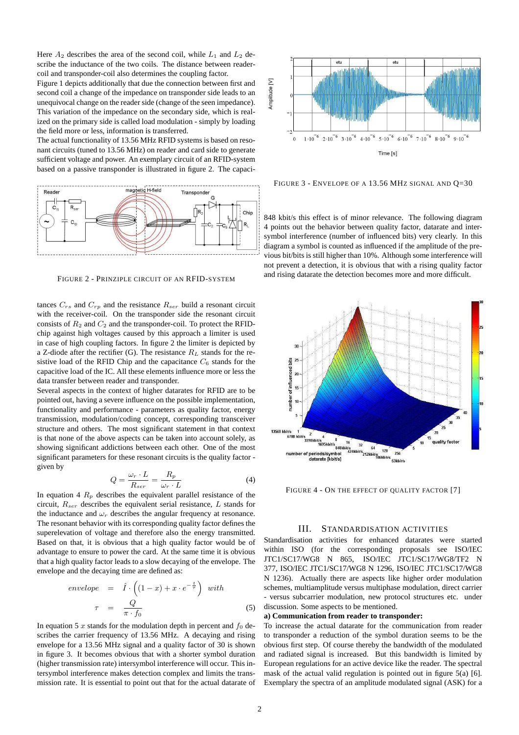Here  $A_2$  describes the area of the second coil, while  $L_1$  and  $L_2$  describe the inductance of the two coils. The distance between readercoil and transponder-coil also determines the coupling factor.

Figure 1 depicts additionally that due the connection between first and second coil a change of the impedance on transponder side leads to an unequivocal change on the reader side (change of the seen impedance). This variation of the impedance on the secondary side, which is realized on the primary side is called load modulation - simply by loading the field more or less, information is transferred.

The actual functionality of 13.56 MHz RFID systems is based on resonant circuits (tuned to 13.56 MHz) on reader and card side to generate sufficient voltage and power. An exemplary circuit of an RFID-system based on a passive transponder is illustrated in figure 2. The capaci-



FIGURE 2 - PRINZIPLE CIRCUIT OF AN RFID-SYSTEM

tances  $C_{rs}$  and  $C_{rp}$  and the resistance  $R_{ser}$  build a resonant circuit with the receiver-coil. On the transponder side the resonant circuit consists of  $R_2$  and  $C_2$  and the transponder-coil. To protect the RFIDchip against high voltages caused by this approach a limiter is used in case of high coupling factors. In figure 2 the limiter is depicted by a Z-diode after the rectifier (G). The resistance  $R_L$  stands for the resistive load of the RFID Chip and the capacitance  $C_6$  stands for the capacitive load of the IC. All these elements influence more or less the data transfer between reader and transponder.

Several aspects in the context of higher datarates for RFID are to be pointed out, having a severe influence on the possible implementation, functionality and performance - parameters as quality factor, energy transmission, modulation/coding concept, corresponding transceiver structure and others. The most significant statement in that context is that none of the above aspects can be taken into account solely, as showing significant addictions between each other. One of the most significant parameters for these resonant circuits is the quality factor given by

$$
Q = \frac{\omega_r \cdot L}{R_{ser}} = \frac{R_p}{\omega_r \cdot L} \tag{4}
$$

In equation 4  $R_p$  describes the equivalent parallel resistance of the circuit,  $R_{ser}$  describes the equivalent serial resistance, L stands for the inductance and  $\omega_r$  describes the angular frequency at resonance. The resonant behavior with its corresponding quality factor defines the superelevation of voltage and therefore also the energy transmitted. Based on that, it is obvious that a high quality factor would be of advantage to ensure to power the card. At the same time it is obvious that a high quality factor leads to a slow decaying of the envelope. The envelope and the decaying time are defined as:

$$
envelope = \hat{I} \cdot \left( (1-x) + x \cdot e^{-\frac{t}{\tau}} \right) \text{ with}
$$
\n
$$
\tau = \frac{Q}{\pi \cdot f_0} \tag{5}
$$

In equation 5 x stands for the modulation depth in percent and  $f_0$  describes the carrier frequency of 13.56 MHz. A decaying and rising envelope for a 13.56 MHz signal and a quality factor of 30 is shown in figure 3. It becomes obvious that with a shorter symbol duration (higher transmission rate) intersymbol interference will occur. This intersymbol interference makes detection complex and limits the transmission rate. It is essential to point out that for the actual datarate of



FIGURE 3 - ENVELOPE OF A 13.56 MHZ SIGNAL AND Q=30

848 kbit/s this effect is of minor relevance. The following diagram 4 points out the behavior between quality factor, datarate and intersymbol interference (number of influenced bits) very clearly. In this diagram a symbol is counted as influenced if the amplitude of the previous bit/bits is still higher than 10%. Although some interference will not prevent a detection, it is obvious that with a rising quality factor and rising datarate the detection becomes more and more difficult.



FIGURE 4 - ON THE EFFECT OF QUALITY FACTOR [7]

## III. STANDARDISATION ACTIVITIES

Standardisation activities for enhanced datarates were started within ISO (for the corresponding proposals see ISO/IEC JTC1/SC17/WG8 N 865, ISO/IEC JTC1/SC17/WG8/TF2 N 377, ISO/IEC JTC1/SC17/WG8 N 1296, ISO/IEC JTC1/SC17/WG8 N 1236). Actually there are aspects like higher order modulation schemes, multiamplitude versus multiphase modulation, direct carrier - versus subcarrier modulation, new protocol structures etc. under discussion. Some aspects to be mentioned.

#### **a) Communication from reader to transponder:**

To increase the actual datarate for the communication from reader to transponder a reduction of the symbol duration seems to be the obvious first step. Of course thereby the bandwidth of the modulated and radiated signal is increased. But this bandwidth is limited by European regulations for an active device like the reader. The spectral mask of the actual valid regulation is pointed out in figure 5(a) [6]. Exemplary the spectra of an amplitude modulated signal (ASK) for a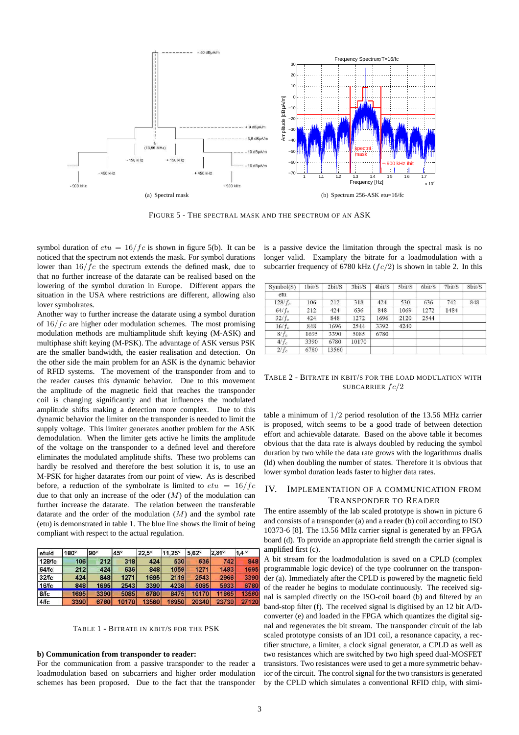

FIGURE 5 - THE SPECTRAL MASK AND THE SPECTRUM OF AN ASK

symbol duration of  $etu = 16/fc$  is shown in figure 5(b). It can be noticed that the spectrum not extends the mask. For symbol durations lower than  $16/fc$  the spectrum extends the defined mask, due to that no further increase of the datarate can be realised based on the lowering of the symbol duration in Europe. Different appars the situation in the USA where restrictions are different, allowing also lover symbolrates.

Another way to further increase the datarate using a symbol duration of  $16/fc$  are higher oder modulation schemes. The most promising modulation methods are multiamplitude shift keying (M-ASK) and multiphase shift keying (M-PSK). The advantage of ASK versus PSK are the smaller bandwidth, the easier realisation and detection. On the other side the main problem for an ASK is the dynamic behavior of RFID systems. The movement of the transponder from and to the reader causes this dynamic behavior. Due to this movement the amplitude of the magnetic field that reaches the transponder coil is changing significantly and that influences the modulated amplitude shifts making a detection more complex. Due to this dynamic behavior the limiter on the transponder is needed to limit the supply voltage. This limiter generates another problem for the ASK demodulation. When the limiter gets active he limits the amplitude of the voltage on the transponder to a defined level and therefore eliminates the modulated amplitude shifts. These two problems can hardly be resolved and therefore the best solution it is, to use an M-PSK for higher datarates from our point of view. As is described before, a reduction of the symbolrate is limited to  $etu = 16/fc$ due to that only an increase of the oder  $(M)$  of the modulation can further increase the datarate. The relation between the transferable datarate and the order of the modulation  $(M)$  and the symbol rate (etu) is demonstrated in table 1. The blue line shows the limit of being compliant with respect to the actual regulation.

| etu/d  | $180^\circ$ | $90^\circ$ | $45^\circ$ | $22.5^\circ$ | $11.25^\circ$ | $5.62^\circ$ | 2.81° | $1.4^\circ$ |
|--------|-------------|------------|------------|--------------|---------------|--------------|-------|-------------|
| 128/fc | 106         | 212        | 318        | 424          | 530           | 636          | 742   | 848         |
| 64/fc  | 212         | 424        | 636        | 848          | 1059          | 1271         | 1483  | 1695        |
| 32/fc  | 424         | 848        | 1271       | 1695         | 2119          | 2543         | 2966  | 3390        |
| 16/fc  | 848         | 1695       | 2543       | 3390         | 4238          | 5085         | 5933  | 6780        |
| 8/fc   | 1695        | 3390       | 5085       | 6780         | 8475          | 10170        | 11865 | 13560       |
| 4/fc   | 3390        | 6780       | 10170      | 13560        | 16950         | 20340        | 23730 | 27120       |

TABLE 1 - BITRATE IN KBIT/S FOR THE PSK

## **b) Communication from transponder to reader:**

For the communication from a passive transponder to the reader a loadmodulation based on subcarriers and higher order modulation schemes has been proposed. Due to the fact that the transponder is a passive device the limitation through the spectral mask is no longer valid. Examplary the bitrate for a loadmodulation with a subcarrier frequency of 6780 kHz  $(fc/2)$  is shown in table 2. In this

| Symbol(S) | 1bit/S | 2bit/S | 3bit/S | 4bit/S | 5bit/S | 6bit/S | 7bit/S | 8bit/S |
|-----------|--------|--------|--------|--------|--------|--------|--------|--------|
| etu       |        |        |        |        |        |        |        |        |
| $128/f_c$ | 106    | 212    | 318    | 424    | 530    | 636    | 742    | 848    |
| $64/f_c$  | 212    | 424    | 636    | 848    | 1069   | 1272   | 1484   |        |
| $32/f_c$  | 424    | 848    | 1272   | 1696   | 2120   | 2544   |        |        |
| $16/f_c$  | 848    | 1696   | 2544   | 3392   | 4240   |        |        |        |
| $8/f_c$   | 1695   | 3390   | 5085   | 6780   |        |        |        |        |
| $4/f_c$   | 3390   | 6780   | 10170  |        |        |        |        |        |
| $2/f_c$   | 6780   | 13560  |        |        |        |        |        |        |

TABLE 2 - BITRATE IN KBIT/S FOR THE LOAD MODULATION WITH SUBCARRIER  $fc/2$ 

table a minimum of 1/2 period resolution of the 13.56 MHz carrier is proposed, witch seems to be a good trade of between detection effort and achievable datarate. Based on the above table it becomes obvious that the data rate is always doubled by reducing the symbol duration by two while the data rate grows with the logarithmus dualis (ld) when doubling the number of states. Therefore it is obvious that lower symbol duration leads faster to higher data rates.

# IV. IMPLEMENTATION OF A COMMUNICATION FROM TRANSPONDER TO READER

The entire assembly of the lab scaled prototype is shown in picture 6 and consists of a transponder (a) and a reader (b) coil according to ISO 10373-6 [8]. The 13.56 MHz carrier signal is generated by an FPGA board (d). To provide an appropriate field strength the carrier signal is amplified first (c).

A bit stream for the loadmodulation is saved on a CPLD (complex programmable logic device) of the type coolrunner on the transponder (a). Immediately after the CPLD is powered by the magnetic field of the reader he begins to modulate continuously. The received signal is sampled directly on the ISO-coil board (b) and filtered by an band-stop filter (f). The received signal is digitised by an 12 bit A/Dconverter (e) and loaded in the FPGA which quantizes the digital signal and regenerates the bit stream. The transponder circuit of the lab scaled prototype consists of an ID1 coil, a resonance capacity, a rectifier structure, a limiter, a clock signal generator, a CPLD as well as two resistances which are switched by two high speed dual-MOSFET transistors. Two resistances were used to get a more symmetric behavior of the circuit. The control signal for the two transistors is generated by the CPLD which simulates a conventional RFID chip, with simi-